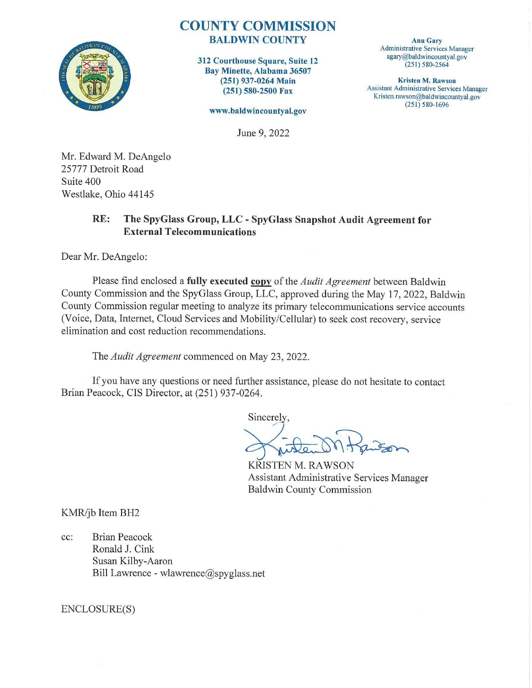

## **COUNTY COMMISSION BALDWIN COUNTY**

**312 Courthouse Square, Suite 12 Bay Minette, Alabama 36507 (251) 937-0264 Main (251) 580-2500 Fax** 

**www.baldwincountyal.gov** 

June 9, 2022

**Anu Gary**  Administrative Services Manager agary@baldwincountyal.gov (251) 580-2564

**Kristen M. Rawson**  Assistant Administrative Services Manager Kristen.rawson@baldwincountyal.gov  $(251) 580 - 1696$ 

Mr. Edward M. DeAngelo 25777 Detroit Road Suite 400 Westlake, Ohio 44145

## **RE: The SpyGlass Group, LLC** - **SpyGlass Snapshot Audit Agreement for External Telecommunications**

Dear Mr. DeAngelo:

Please find enclosed a **fully executed copy** of the *Audit Agreement* between Baldwin County Commission and the SpyGlass Group, LLC, approved during the May 17, 2022, Baldwin County Commission regular meeting to analyze its primary telecommunications service accounts (Voice, Data, Internet, Cloud Services and Mobility/Cellular) to seek cost recovery, service elimination and cost reduction recommendations.

The *Audit Agreement* commenced on May 23, 2022.

If you have any questions or need further assistance, please do not hesitate to contact Brian Peacock, CIS Director, at (251) 937-0264.

Sincerely.

KRISTEN M. RAWSON Assistant Administrative Services Manager Baldwin County Commission

KMR/jb Item BH2

cc: Brian Peacock Ronald J. Cink Susan Kilby-Aaron Bill Lawrence - wlawrence@spyglass.net

ENCLOSURE(S)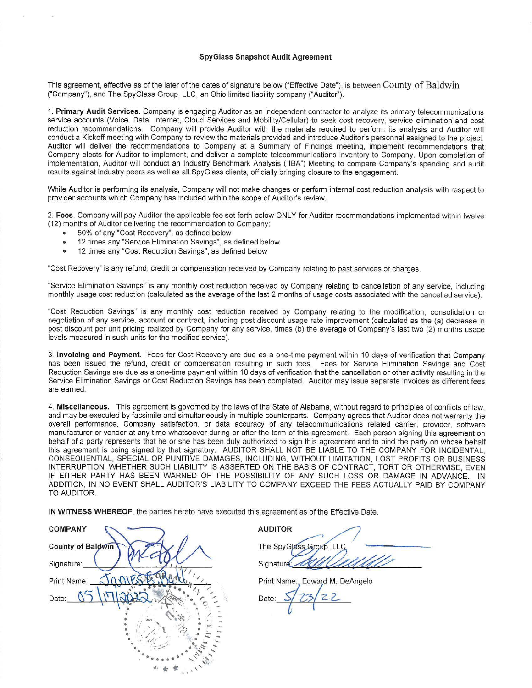## **SpyGlass Snapshot Audit Agreement**

This agreement, effective as of the later of the dates of signature below ("Effective Date"), is between County of Baldwin ("Company"), and The SpyGlass Group, LLC, an Ohio limited liability company ("Auditor").

1. **Primary Audit Services.** Company is engaging Auditor as an independent contractor to analyze its primary telecommunications service accounts (Voice, Data, Internet, Cloud Services and Mobility/Cellular) to seek cost recovery, service elimination and cost reduction recommendations. Company will provide Auditor with the materials required to perform its analysis and Auditor will conduct a Kickoff meeting with Company to review the materials provided and introduce Auditor's personnel assigned to the project. Auditor will deliver the recommendations to Company at a Summary of Findings meeting, implement recommendations that Company elects for Auditor to implement, and deliver a complete telecommunications inventory to Company. Upon completion of implementation, Auditor will conduct an Industry Benchmark Analysis ("IBA") Meeting to compare Company's spending and audit results against industry peers as well as all SpyGlass clients, officially bringing closure to the engagement.

While Auditor is performing its analysis, Company will not make changes or perform internal cost reduction analysis with respect to provider accounts which Company has included within the scope of Auditor's review.

2. **Fees.** Company will pay Auditor the applicable fee set forth below ONLY for Auditor recommendations implemented within twelve (12) months of Auditor delivering the recommendation to Company:

- 50% of any "Cost Recovery", as defined below
- 12 times any "Service Elimination Savings", as defined below
- 12 times any "Cost Reduction Savings", as defined below

"Cost Recovery" is any refund, credit or compensation received by Company relating to past services or charges.

"Service Elimination Savings" is any monthly cost reduction received by Company relating to cancellation of any service, including monthly usage cost reduction (calculated as the average of the last 2 months of usage costs associated with the cancelled service).

"Cost Reduction Savings" is any monthly cost reduction received by Company relating to the modification, consolidation or negotiation of any service, account or contract, including post discount usage rate improvement (calculated as the (a) decrease in post discount per unit pricing realized by Company for any service, times (b) the average of Company's last two (2) months usage levels measured in such units for the modified service).

3. **Invoicing and Payment.** Fees for Cost Recovery are due as a one-time payment within 10 days of verification that Company has been issued the refund, credit or compensation resulting in such fees. Fees for Service Elimination Savings and Cost Reduction Savings are due as a one-time payment within 10 days of verification that the cancellation or other activity resulting in the Service Elimination Savings or Cost Reduction Savings has been completed. Auditor may issue separate invoices as different fees are earned.

4. **Miscellaneous.** This agreement is governed by the laws of the State of Alabama, without regard to principles of conflicts of law, and may be executed by facsimile and simultaneously in multiple counterparts. Company agrees that Auditor does not warranty the overall performance, Company satisfaction, or data accuracy of any telecommunications related carrier, provider, software manufacturer or vendor at any time whatsoever during or after the term of this agreement. Each person signing this agreement on behalf of a party represents that he or she has been duly authorized to sign this agreement and to bind the party on whose behalf this agreement is being signed by that signatory. AUDITOR SHALL NOT BE LIABLE TO THE COMPANY FOR INCIDENTAL, CONSEQUENTIAL, SPECIAL OR PUNITIVE DAMAGES, INCLUDING, WITHOUT LIMITATION, LOST PROFITS OR BUSINESS INTERRUPTION, WHETHER SUCH LIABILITY IS ASSERTED ON THE BASIS OF CONTRACT, TORT OR OTHERWISE, EVEN IF EITHER PARTY HAS BEEN WARNED OF THE POSSIBILITY OF ANY SUCH LOSS OR DAMAGE IN ADVANCE. IN ADDITION, IN NO EVENT SHALL AUDITOR'S LIABILITY TO COMPANY EXCEED THE FEES ACTUALLY PAID BY COMPANY TO AUDITOR.

| IN WITNESS WHEREOF, the parties hereto have executed this agreement as of the Effective Date. |                                |
|-----------------------------------------------------------------------------------------------|--------------------------------|
| <b>COMPANY</b>                                                                                | <b>AUDITOR</b>                 |
| <b>County of Baldwin</b>                                                                      | The SpyGlass Group, LL         |
| Signature:                                                                                    | Signature:                     |
| Print Name:                                                                                   | Print Name: Edward M. DeAngelo |
| Date:                                                                                         | 27<br>Date:                    |
|                                                                                               |                                |
|                                                                                               |                                |
|                                                                                               |                                |

The SpyGlass Group, LLC AUDITOR<br>The SpyGlass Group, LLC<br>Signature AU/OLUMU

Print Name: Edward M. DeAngelo

Date: 5/23/22